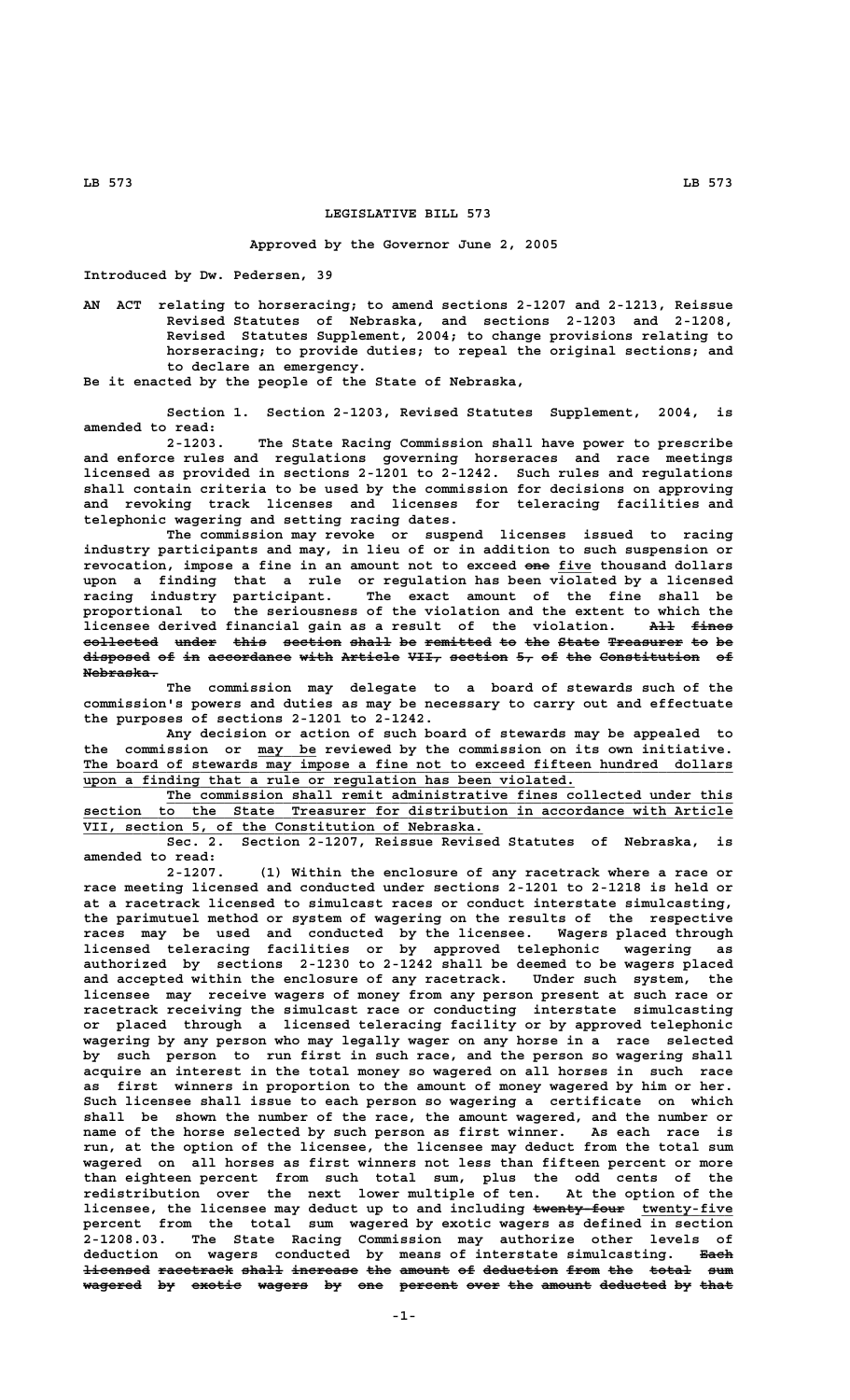## **LEGISLATIVE BILL 573**

## **Approved by the Governor June 2, 2005**

**Introduced by Dw. Pedersen, 39**

**AN ACT relating to horseracing; to amend sections 2-1207 and 2-1213, Reissue Revised Statutes of Nebraska, and sections 2-1203 and 2-1208, Revised Statutes Supplement, 2004; to change provisions relating to horseracing; to provide duties; to repeal the original sections; and to declare an emergency.**

**Be it enacted by the people of the State of Nebraska,**

**Section 1. Section 2-1203, Revised Statutes Supplement, 2004, is amended to read:**

The State Racing Commission shall have power to prescribe **and enforce rules and regulations governing horseraces and race meetings licensed as provided in sections 2-1201 to 2-1242. Such rules and regulations shall contain criteria to be used by the commission for decisions on approving and revoking track licenses and licenses for teleracing facilities and telephonic wagering and setting racing dates.**

**The commission may revoke or suspend licenses issued to racing industry participants and may, in lieu of or in addition to such suspension or revocation, impose a fine in an amount not to exceed one five thousand dollars ——— \_\_\_\_ upon a finding that a rule or regulation has been violated by a licensed racing industry participant. The exact amount of the fine shall be proportional to the seriousness of the violation and the extent to which the licensee derived financial gain as a result of the violation. All fines ——— ————** collected under this section shall be remitted to the State Treasurer to be **disposed of in accordance with Article VII, section 5, of the Constitution of ———————— —— —— —————————— ———— ——————— ———— ——————— —— —— ——— ———————————— —— Nebraska. —————————**

**The commission may delegate to a board of stewards such of the commission's powers and duties as may be necessary to carry out and effectuate the purposes of sections 2-1201 to 2-1242.**

**Any decision or action of such board of stewards may be appealed to \_\_\_\_\_\_\_ the commission or may be reviewed by the commission on its own initiative. \_\_\_\_\_\_\_\_\_\_\_\_\_\_\_\_\_\_\_\_\_\_\_\_\_\_\_\_\_\_\_\_\_\_\_\_\_\_\_\_\_\_\_\_\_\_\_\_\_\_\_\_\_\_\_\_\_\_\_\_\_\_\_\_\_\_\_\_\_\_\_\_\_\_\_\_\_\_ The board of stewards may impose a fine not to exceed fifteen hundred dollars \_\_\_\_\_\_\_\_\_\_\_\_\_\_\_\_\_\_\_\_\_\_\_\_\_\_\_\_\_\_\_\_\_\_\_\_\_\_\_\_\_\_\_\_\_\_\_\_\_\_\_\_\_\_\_\_\_\_\_ upon a finding that a rule or regulation has been violated.**

The commission shall remit administrative fines collected under this  **\_\_\_\_\_\_\_\_\_\_\_\_\_\_\_\_\_\_\_\_\_\_\_\_\_\_\_\_\_\_\_\_\_\_\_\_\_\_\_\_\_\_\_\_\_\_\_\_\_\_\_\_\_\_\_\_\_\_\_\_\_\_\_\_\_\_\_\_\_\_\_\_\_\_\_\_\_\_ section to the State Treasurer for distribution in accordance with Article \_\_\_\_\_\_\_\_\_\_\_\_\_\_\_\_\_\_\_\_\_\_\_\_\_\_\_\_\_\_\_\_\_\_\_\_\_\_\_\_\_\_\_\_\_\_\_\_ VII, section 5, of the Constitution of Nebraska.**

**Sec. 2. Section 2-1207, Reissue Revised Statutes of Nebraska, is amended to read:**

**2-1207. (1) Within the enclosure of any racetrack where a race or race meeting licensed and conducted under sections 2-1201 to 2-1218 is held or at a racetrack licensed to simulcast races or conduct interstate simulcasting, the parimutuel method or system of wagering on the results of the respective races may be used and conducted by the licensee. Wagers placed through licensed teleracing facilities or by approved telephonic wagering as authorized by sections 2-1230 to 2-1242 shall be deemed to be wagers placed and accepted within the enclosure of any racetrack. Under such system, the licensee may receive wagers of money from any person present at such race or racetrack receiving the simulcast race or conducting interstate simulcasting or placed through a licensed teleracing facility or by approved telephonic wagering by any person who may legally wager on any horse in a race selected by such person to run first in such race, and the person so wagering shall acquire an interest in the total money so wagered on all horses in such race as first winners in proportion to the amount of money wagered by him or her. Such licensee shall issue to each person so wagering a certificate on which shall be shown the number of the race, the amount wagered, and the number or name of the horse selected by such person as first winner. As each race is run, at the option of the licensee, the licensee may deduct from the total sum wagered on all horses as first winners not less than fifteen percent or more than eighteen percent from such total sum, plus the odd cents of the redistribution over the next lower multiple of ten. At the option of the** licensee, the licensee may deduct up to and including <del>twenty four</del> twenty-five **percent from the total sum wagered by exotic wagers as defined in section 2-1208.03. The State Racing Commission may authorize other levels of deduction on wagers conducted by means of interstate simulcasting. Each ———** licensed racetrack shall increase the amount of deduction from the total sum wagered by exotic wagers by one percent over the amount deducted by that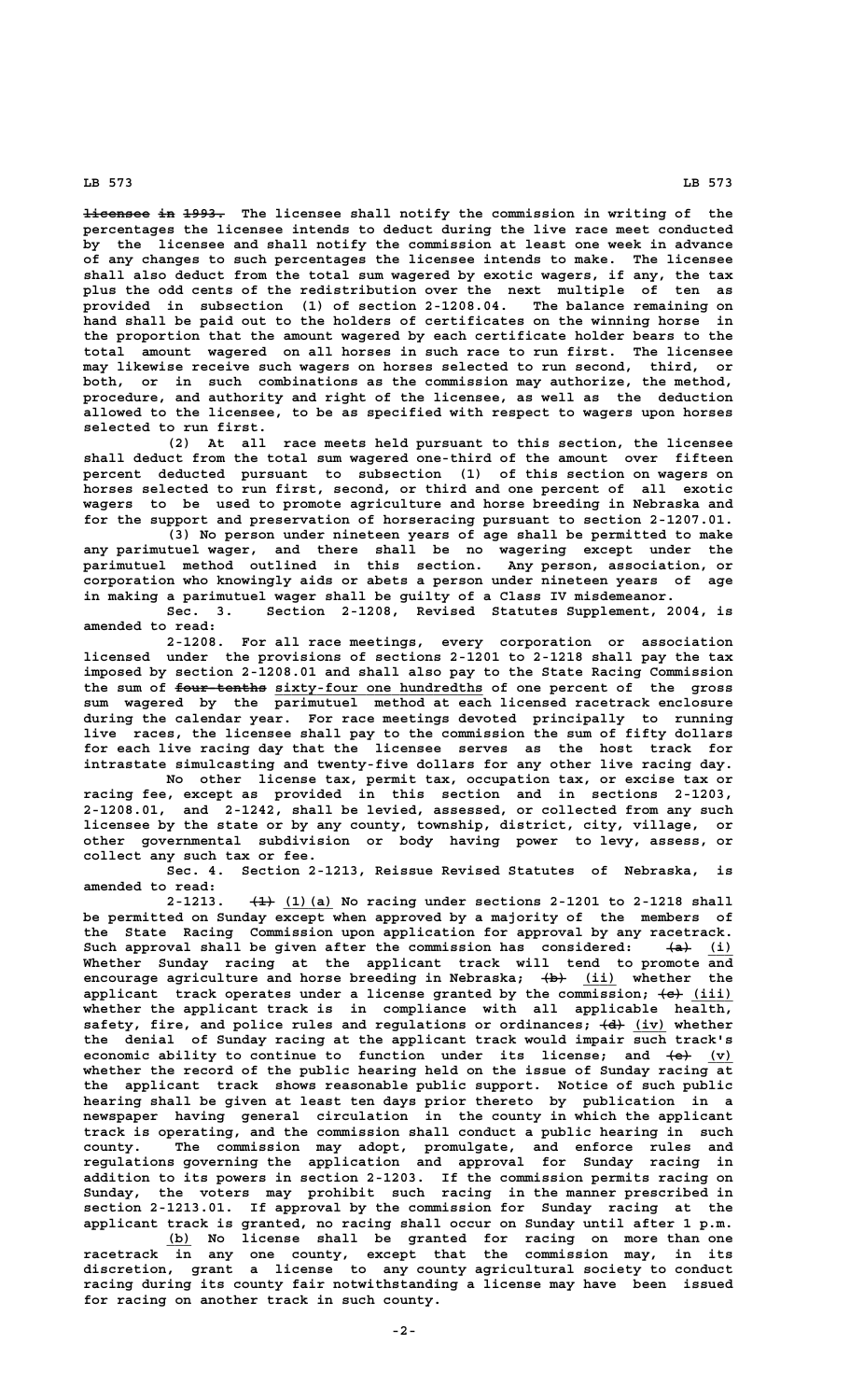## **LB 573 LB 573**

**licensee in 1993.** The licensee shall notify the commission in writing of the **percentages the licensee intends to deduct during the live race meet conducted by the licensee and shall notify the commission at least one week in advance of any changes to such percentages the licensee intends to make. The licensee shall also deduct from the total sum wagered by exotic wagers, if any, the tax plus the odd cents of the redistribution over the next multiple of ten as provided in subsection (1) of section 2-1208.04. The balance remaining on hand shall be paid out to the holders of certificates on the winning horse in the proportion that the amount wagered by each certificate holder bears to the total amount wagered on all horses in such race to run first. The licensee may likewise receive such wagers on horses selected to run second, third, or both, or in such combinations as the commission may authorize, the method, procedure, and authority and right of the licensee, as well as the deduction allowed to the licensee, to be as specified with respect to wagers upon horses selected to run first.**

**(2) At all race meets held pursuant to this section, the licensee shall deduct from the total sum wagered one-third of the amount over fifteen percent deducted pursuant to subsection (1) of this section on wagers on horses selected to run first, second, or third and one percent of all exotic wagers to be used to promote agriculture and horse breeding in Nebraska and for the support and preservation of horseracing pursuant to section 2-1207.01.**

**(3) No person under nineteen years of age shall be permitted to make any parimutuel wager, and there shall be no wagering except under the parimutuel method outlined in this section. Any person, association, or corporation who knowingly aids or abets a person under nineteen years of age in making a parimutuel wager shall be guilty of a Class IV misdemeanor.**

**Sec. 3. Section 2-1208, Revised Statutes Supplement, 2004, is amended to read:**

**2-1208. For all race meetings, every corporation or association licensed under the provisions of sections 2-1201 to 2-1218 shall pay the tax imposed by section 2-1208.01 and shall also pay to the State Racing Commission** the sum of four-tenths sixty-four one hundredths of one percent of the gross **sum wagered by the parimutuel method at each licensed racetrack enclosure during the calendar year. For race meetings devoted principally to running live races, the licensee shall pay to the commission the sum of fifty dollars for each live racing day that the licensee serves as the host track for intrastate simulcasting and twenty-five dollars for any other live racing day.**

**No other license tax, permit tax, occupation tax, or excise tax or racing fee, except as provided in this section and in sections 2-1203, 2-1208.01, and 2-1242, shall be levied, assessed, or collected from any such licensee by the state or by any county, township, district, city, village, or other governmental subdivision or body having power to levy, assess, or collect any such tax or fee.**

**Sec. 4. Section 2-1213, Reissue Revised Statutes of Nebraska, is amended to read:**

2-1213. <del>(1)</del> (1) (a) No racing under sections 2-1201 to 2-1218 shall **be permitted on Sunday except when approved by a majority of the members of the State Racing Commission upon application for approval by any racetrack.** Such approval shall be given after the commission has considered:  $\leftarrow$  (i) **Whether Sunday racing at the applicant track will tend to promote and encourage agriculture and horse breeding in Nebraska; (b) (ii) whether the ——— \_\_\_\_** applicant track operates under a license granted by the commission;  $\left\{\leftrightarrow\right\}$  (iii) **whether the applicant track is in compliance with all applicable health,** safety, fire, and police rules and regulations or ordinances;  $\left\lbrace \frac{d}{d} \right\rbrace$  (iv) whether **the denial of Sunday racing at the applicant track would impair such track's economic ability to continue to function under its license; and**  $\left\{\mathbf{e}\right\}$  **(v) whether the record of the public hearing held on the issue of Sunday racing at the applicant track shows reasonable public support. Notice of such public hearing shall be given at least ten days prior thereto by publication in a newspaper having general circulation in the county in which the applicant track is operating, and the commission shall conduct a public hearing in such county. The commission may adopt, promulgate, and enforce rules and regulations governing the application and approval for Sunday racing in addition to its powers in section 2-1203. If the commission permits racing on Sunday, the voters may prohibit such racing in the manner prescribed in section 2-1213.01. If approval by the commission for Sunday racing at the applicant track is granted, no racing shall occur on Sunday until after 1 p.m.**

 **\_\_\_ (b) No license shall be granted for racing on more than one racetrack in any one county, except that the commission may, in its discretion, grant a license to any county agricultural society to conduct racing during its county fair notwithstanding a license may have been issued for racing on another track in such county.**